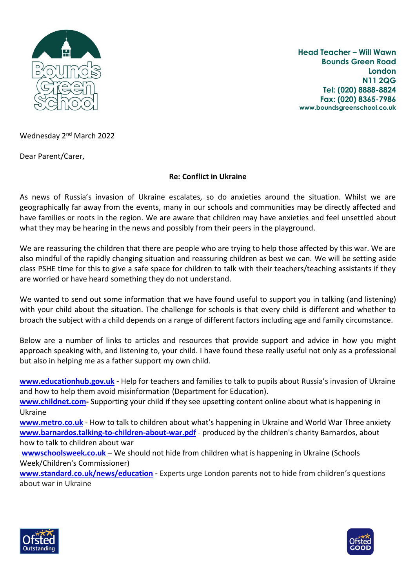

**Head Teacher – Will Wawn Bounds Green Road London N11 2QG Tel: (020) 8888-8824 Fax: (020) 8365-7986 www.boundsgreenschool.co.uk**

Wednesday 2<sup>nd</sup> March 2022

Dear Parent/Carer,

## **Re: Conflict in Ukraine**

As news of Russia's invasion of Ukraine escalates, so do anxieties around the situation. Whilst we are geographically far away from the events, many in our schools and communities may be directly affected and have families or roots in the region. We are aware that children may have anxieties and feel unsettled about what they may be hearing in the news and possibly from their peers in the playground.

We are reassuring the children that there are people who are trying to help those affected by this war. We are also mindful of the rapidly changing situation and reassuring children as best we can. We will be setting aside class PSHE time for this to give a safe space for children to talk with their teachers/teaching assistants if they are worried or have heard something they do not understand.

We wanted to send out some information that we have found useful to support you in talking (and listening) with your child about the situation. The challenge for schools is that every child is different and whether to broach the subject with a child depends on a range of different factors including age and family circumstance.

Below are a number of links to articles and resources that provide support and advice in how you might approach speaking with, and listening to, your child. I have found these really useful not only as a professional but also in helping me as a father support my own child.

**[www.educationhub.gov.uk](https://educationhub.blog.gov.uk/2022/02/25/help-for-teachers-and-families-to-talk-to-pupils-about-russias-invasion-of-ukraine-and-how-to-help-them-avoid-misinformation/?utm_source=1%20March%202022%20C19&utm_medium=Daily%20Email%20C19&utm_campaign=DfE%20C19) -** Help for teachers and families to talk to pupils about Russia's invasion of Ukraine and how to help them avoid misinformation (Department for Education).

**[www.childnet.com-](https://www.childnet.com/blog/supporting-your-child-with-upsetting-content/)** Supporting your child if they see upsetting content online about what is happening in Ukraine

**[www.metro.co.uk](https://metro.co.uk/2022/02/24/how-to-talk-to-children-about-whats-happening-in-ukraine-16163133/)** - How to talk to children about what's happening in Ukraine and World War Three anxiety **[www.barnardos.talking-to-children-about-war.pdf](https://www.barnardos.ie/media/14835/talking-to-children-about-war.pdf)** - produced by the children's charity Barnardos, about how to talk to children about war

**[wwwschoolsweek.co.uk](https://schoolsweek.co.uk/we-should-not-hide-from-children-what-is-happening-in-ukraine/)** – We should not hide from children what is happening in Ukraine (Schools Week/Children's Commissioner)

**[www.standard.co.uk/news/education](https://www.standard.co.uk/news/education/ukraine-russia-war-london-children-parents-b985023.html) -** Experts urge London parents not to hide from children's questions about war in Ukraine